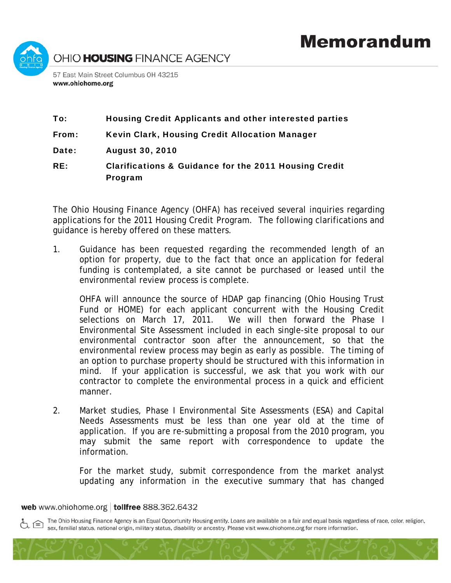

## To: Housing Credit Applicants and other interested parties

From: Kevin Clark, Housing Credit Allocation Manager

Date: August 30, 2010

RE: Clarifications & Guidance for the 2011 Housing Credit Program

The Ohio Housing Finance Agency (OHFA) has received several inquiries regarding applications for the 2011 Housing Credit Program. The following clarifications and guidance is hereby offered on these matters.

1. Guidance has been requested regarding the recommended length of an option for property, due to the fact that once an application for federal funding is contemplated, a site cannot be purchased or leased until the environmental review process is complete.

OHFA will announce the source of HDAP gap financing (Ohio Housing Trust Fund or HOME) for each applicant concurrent with the Housing Credit selections on March 17, 2011. We will then forward the Phase I Environmental Site Assessment included in each single-site proposal to our environmental contractor soon after the announcement, so that the environmental review process may begin as early as possible. The timing of an option to purchase property should be structured with this information in mind. If your application is successful, we ask that you work with our contractor to complete the environmental process in a quick and efficient manner.

2. Market studies, Phase I Environmental Site Assessments (ESA) and Capital Needs Assessments must be less than one year old at the time of application. If you are re-submitting a proposal from the 2010 program, you may submit the same report with correspondence to update the information.

For the market study, submit correspondence from the market analyst updating any information in the executive summary that has changed

web www.ohiohome.org | tollfree 888.362.6432

The Ohio Housing Finance Agency is an Equal Opportunity Housing entity. Loans are available on a fair and equal basis regardless of race, color, religion, sex, familial status, national origin, military status, disability or ancestry. Please visit www.ohiohome.org for more information.

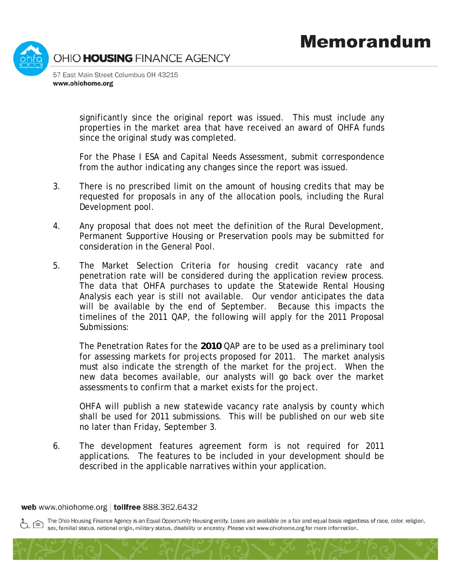

significantly since the original report was issued. This must include any properties in the market area that have received an award of OHFA funds since the original study was completed.

For the Phase I ESA and Capital Needs Assessment, submit correspondence from the author indicating any changes since the report was issued.

- 3. There is no prescribed limit on the amount of housing credits that may be requested for proposals in any of the allocation pools, including the Rural Development pool.
- 4. Any proposal that does not meet the definition of the Rural Development, Permanent Supportive Housing or Preservation pools may be submitted for consideration in the General Pool.
- 5. The Market Selection Criteria for housing credit vacancy rate and penetration rate will be considered during the application review process. The data that OHFA purchases to update the Statewide Rental Housing Analysis each year is still not available. Our vendor anticipates the data will be available by the end of September. Because this impacts the timelines of the 2011 QAP, the following will apply for the 2011 Proposal Submissions:

The Penetration Rates for the *2010* QAP are to be used as a preliminary tool for assessing markets for projects proposed for 2011. The market analysis must also indicate the strength of the market for the project. When the new data becomes available, our analysts will go back over the market assessments to confirm that a market exists for the project.

OHFA will publish a new statewide vacancy rate analysis by county which shall be used for 2011 submissions. This will be published on our web site no later than Friday, September 3.

6. The development features agreement form is not required for 2011 applications. The features to be included in your development should be described in the applicable narratives within your application.

web www.ohiohome.org | tollfree 888.362.6432

The Ohio Housing Finance Agency is an Equal Opportunity Housing entity. Loans are available on a fair and equal basis regardless of race, color, religion, sex, familial status, national origin, military status, disability or ancestry. Please visit www.ohiohome.org for more information.